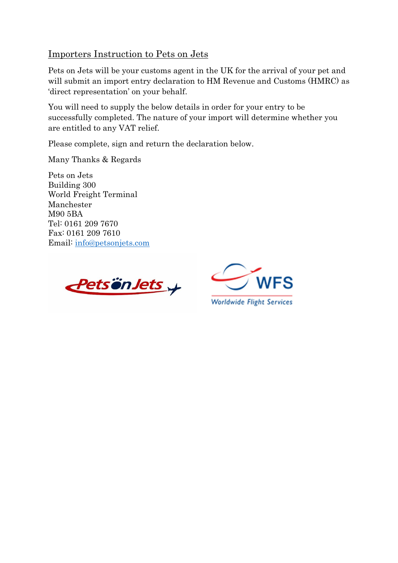## Importers Instruction to Pets on Jets

Pets on Jets will be your customs agent in the UK for the arrival of your pet and will submit an import entry declaration to HM Revenue and Customs (HMRC) as 'direct representation' on your behalf.

You will need to supply the below details in order for your entry to be successfully completed. The nature of your import will determine whether you are entitled to any VAT relief.

Please complete, sign and return the declaration below.

Many Thanks & Regards

Pets on Jets Building 300 World Freight Terminal Manchester M90 5BA Tel: 0161 209 7670 Fax: 0161 209 7610 Email: [info@petsonjets.com](mailto:info@petsonjets.com)